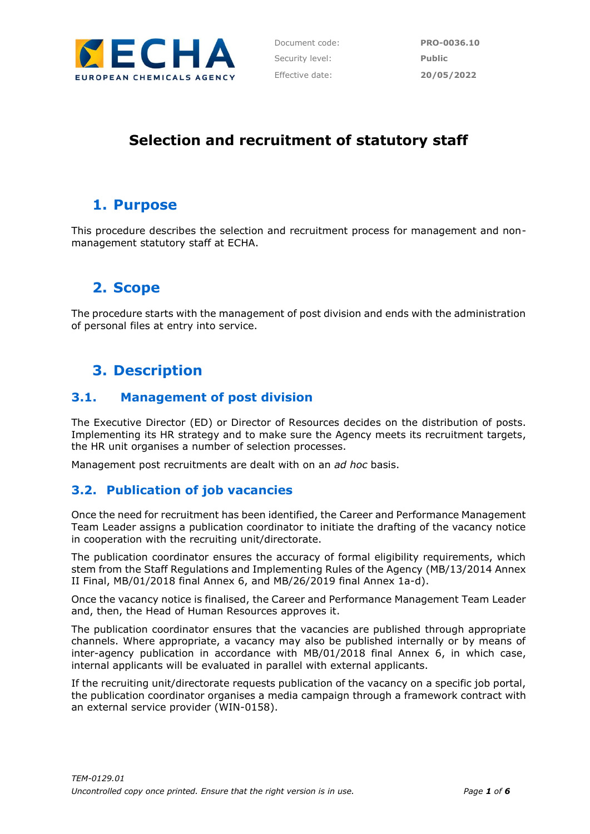

# **Selection and recruitment of statutory staff**

## **1. Purpose**

This procedure describes the selection and recruitment process for management and nonmanagement statutory staff at ECHA.

## **2. Scope**

The procedure starts with the management of post division and ends with the administration of personal files at entry into service.

# **3. Description**

### **3.1. Management of post division**

The Executive Director (ED) or Director of Resources decides on the distribution of posts. Implementing its HR strategy and to make sure the Agency meets its recruitment targets, the HR unit organises a number of selection processes.

Management post recruitments are dealt with on an *ad hoc* basis.

### **3.2. Publication of job vacancies**

Once the need for recruitment has been identified, the Career and Performance Management Team Leader assigns a publication coordinator to initiate the drafting of the vacancy notice in cooperation with the recruiting unit/directorate.

The publication coordinator ensures the accuracy of formal eligibility requirements, which stem from the Staff Regulations and Implementing Rules of the Agency (MB/13/2014 Annex II Final, MB/01/2018 final Annex 6, and MB/26/2019 final Annex 1a-d).

Once the vacancy notice is finalised, the Career and Performance Management Team Leader and, then, the Head of Human Resources approves it.

The publication coordinator ensures that the vacancies are published through appropriate channels. Where appropriate, a vacancy may also be published internally or by means of inter-agency publication in accordance with MB/01/2018 final Annex 6, in which case, internal applicants will be evaluated in parallel with external applicants.

If the recruiting unit/directorate requests publication of the vacancy on a specific job portal, the publication coordinator organises a media campaign through a framework contract with an external service provider (WIN-0158).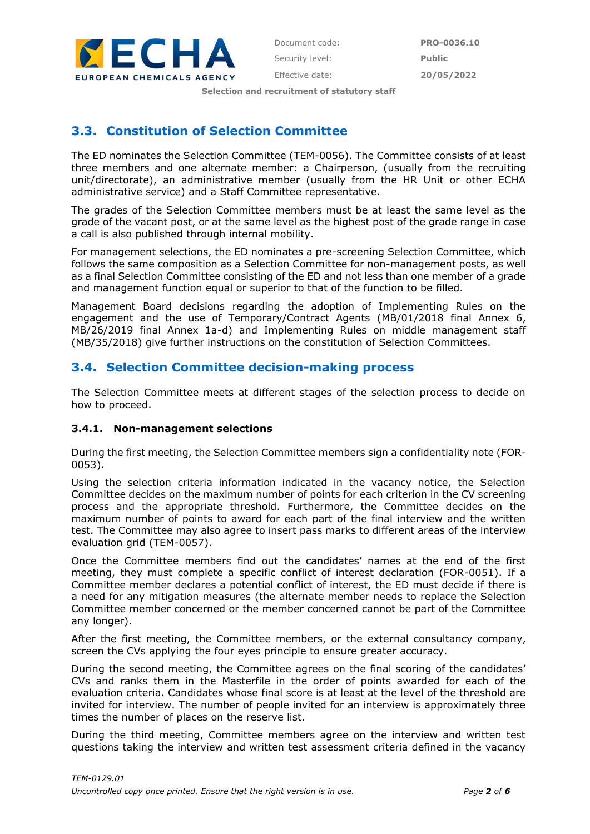

**Selection and recruitment of statutory staff**

### **3.3. Constitution of Selection Committee**

The ED nominates the Selection Committee (TEM-0056). The Committee consists of at least three members and one alternate member: a Chairperson, (usually from the recruiting unit/directorate), an administrative member (usually from the HR Unit or other ECHA administrative service) and a Staff Committee representative.

The grades of the Selection Committee members must be at least the same level as the grade of the vacant post, or at the same level as the highest post of the grade range in case a call is also published through internal mobility.

For management selections, the ED nominates a pre-screening Selection Committee, which follows the same composition as a Selection Committee for non-management posts, as well as a final Selection Committee consisting of the ED and not less than one member of a grade and management function equal or superior to that of the function to be filled.

Management Board decisions regarding the adoption of Implementing Rules on the engagement and the use of Temporary/Contract Agents (MB/01/2018 final Annex 6, MB/26/2019 final Annex 1a-d) and Implementing Rules on middle management staff (MB/35/2018) give further instructions on the constitution of Selection Committees.

### **3.4. Selection Committee decision-making process**

The Selection Committee meets at different stages of the selection process to decide on how to proceed.

#### **3.4.1. Non-management selections**

During the first meeting, the Selection Committee members sign a confidentiality note (FOR-0053).

Using the selection criteria information indicated in the vacancy notice, the Selection Committee decides on the maximum number of points for each criterion in the CV screening process and the appropriate threshold. Furthermore, the Committee decides on the maximum number of points to award for each part of the final interview and the written test. The Committee may also agree to insert pass marks to different areas of the interview evaluation grid (TEM-0057).

Once the Committee members find out the candidates' names at the end of the first meeting, they must complete a specific conflict of interest declaration (FOR-0051). If a Committee member declares a potential conflict of interest, the ED must decide if there is a need for any mitigation measures (the alternate member needs to replace the Selection Committee member concerned or the member concerned cannot be part of the Committee any longer).

After the first meeting, the Committee members, or the external consultancy company, screen the CVs applying the four eyes principle to ensure greater accuracy.

During the second meeting, the Committee agrees on the final scoring of the candidates' CVs and ranks them in the Masterfile in the order of points awarded for each of the evaluation criteria. Candidates whose final score is at least at the level of the threshold are invited for interview. The number of people invited for an interview is approximately three times the number of places on the reserve list.

During the third meeting, Committee members agree on the interview and written test questions taking the interview and written test assessment criteria defined in the vacancy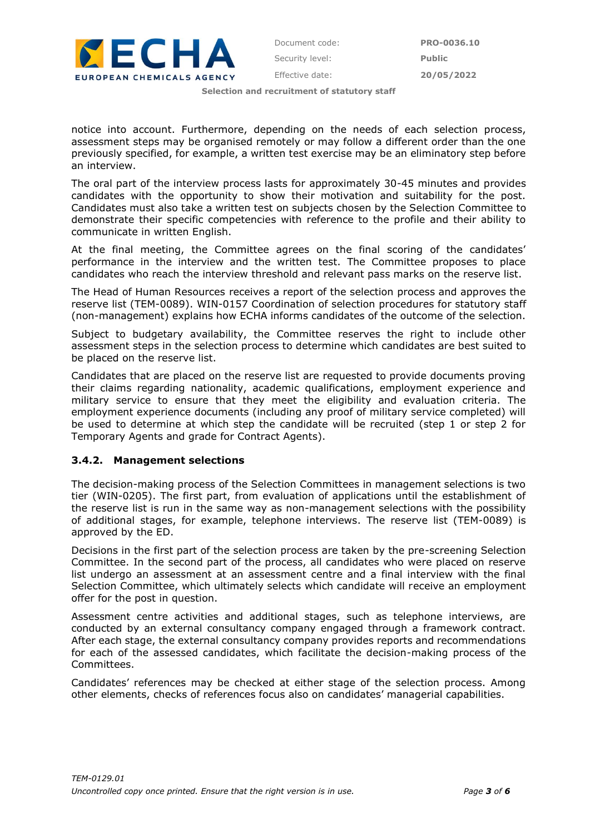

**Selection and recruitment of statutory staff**

notice into account. Furthermore, depending on the needs of each selection process, assessment steps may be organised remotely or may follow a different order than the one previously specified, for example, a written test exercise may be an eliminatory step before an interview.

The oral part of the interview process lasts for approximately 30-45 minutes and provides candidates with the opportunity to show their motivation and suitability for the post. Candidates must also take a written test on subjects chosen by the Selection Committee to demonstrate their specific competencies with reference to the profile and their ability to communicate in written English.

At the final meeting, the Committee agrees on the final scoring of the candidates' performance in the interview and the written test. The Committee proposes to place candidates who reach the interview threshold and relevant pass marks on the reserve list.

The Head of Human Resources receives a report of the selection process and approves the reserve list (TEM-0089). WIN-0157 Coordination of selection procedures for statutory staff (non-management) explains how ECHA informs candidates of the outcome of the selection.

Subject to budgetary availability, the Committee reserves the right to include other assessment steps in the selection process to determine which candidates are best suited to be placed on the reserve list.

Candidates that are placed on the reserve list are requested to provide documents proving their claims regarding nationality, academic qualifications, employment experience and military service to ensure that they meet the eligibility and evaluation criteria. The employment experience documents (including any proof of military service completed) will be used to determine at which step the candidate will be recruited (step 1 or step 2 for Temporary Agents and grade for Contract Agents).

#### **3.4.2. Management selections**

The decision-making process of the Selection Committees in management selections is two tier (WIN-0205). The first part, from evaluation of applications until the establishment of the reserve list is run in the same way as non-management selections with the possibility of additional stages, for example, telephone interviews. The reserve list (TEM-0089) is approved by the ED.

Decisions in the first part of the selection process are taken by the pre-screening Selection Committee. In the second part of the process, all candidates who were placed on reserve list undergo an assessment at an assessment centre and a final interview with the final Selection Committee, which ultimately selects which candidate will receive an employment offer for the post in question.

Assessment centre activities and additional stages, such as telephone interviews, are conducted by an external consultancy company engaged through a framework contract. After each stage, the external consultancy company provides reports and recommendations for each of the assessed candidates, which facilitate the decision-making process of the Committees.

Candidates' references may be checked at either stage of the selection process. Among other elements, checks of references focus also on candidates' managerial capabilities.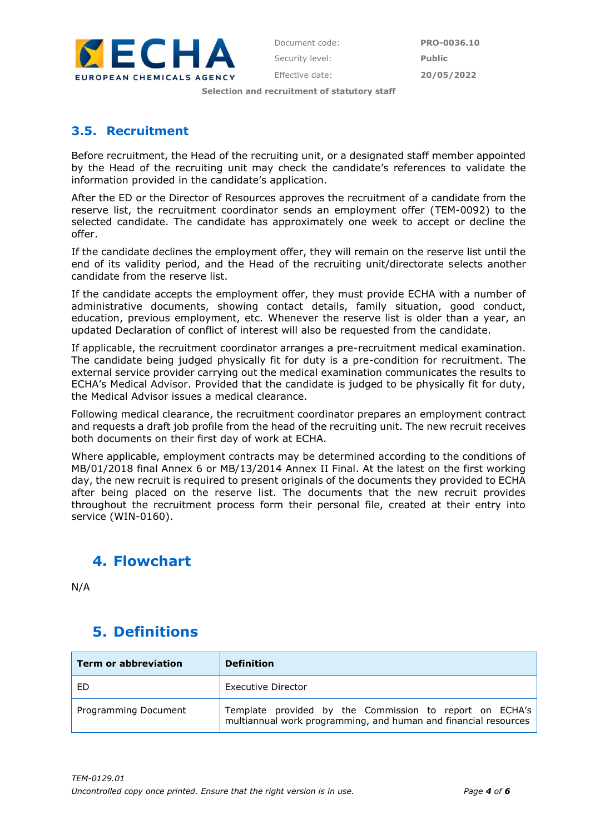

Effective date: **20/05/2022**

**Selection and recruitment of statutory staff**

### **3.5. Recruitment**

Before recruitment, the Head of the recruiting unit, or a designated staff member appointed by the Head of the recruiting unit may check the candidate's references to validate the information provided in the candidate's application.

After the ED or the Director of Resources approves the recruitment of a candidate from the reserve list, the recruitment coordinator sends an employment offer (TEM-0092) to the selected candidate. The candidate has approximately one week to accept or decline the offer.

If the candidate declines the employment offer, they will remain on the reserve list until the end of its validity period, and the Head of the recruiting unit/directorate selects another candidate from the reserve list.

If the candidate accepts the employment offer, they must provide ECHA with a number of administrative documents, showing contact details, family situation, good conduct, education, previous employment, etc. Whenever the reserve list is older than a year, an updated Declaration of conflict of interest will also be requested from the candidate.

If applicable, the recruitment coordinator arranges a pre-recruitment medical examination. The candidate being judged physically fit for duty is a pre-condition for recruitment. The external service provider carrying out the medical examination communicates the results to ECHA's Medical Advisor. Provided that the candidate is judged to be physically fit for duty, the Medical Advisor issues a medical clearance.

Following medical clearance, the recruitment coordinator prepares an employment contract and requests a draft job profile from the head of the recruiting unit. The new recruit receives both documents on their first day of work at ECHA.

Where applicable, employment contracts may be determined according to the conditions of MB/01/2018 final Annex 6 or MB/13/2014 Annex II Final. At the latest on the first working day, the new recruit is required to present originals of the documents they provided to ECHA after being placed on the reserve list. The documents that the new recruit provides throughout the recruitment process form their personal file, created at their entry into service (WIN-0160).

## **4. Flowchart**

N/A

# **5. Definitions**

| <b>Term or abbreviation</b> | <b>Definition</b>                                                                                                          |
|-----------------------------|----------------------------------------------------------------------------------------------------------------------------|
| ED                          | Executive Director                                                                                                         |
| Programming Document        | Template provided by the Commission to report on ECHA's<br>multiannual work programming, and human and financial resources |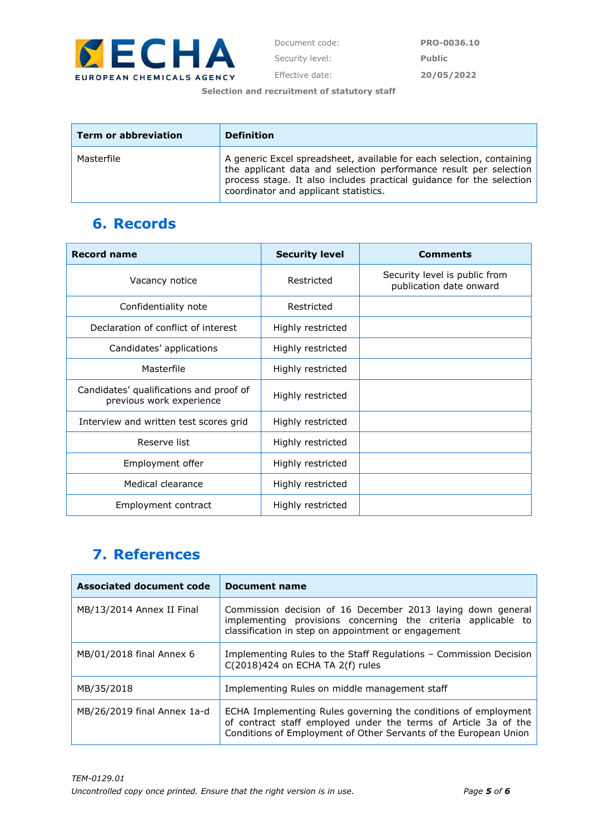

Effective date: **20/05/2022**

**Selection and recruitment of statutory staff**

| <b>Term or abbreviation</b> | <b>Definition</b>                                                                                                                                                                                                                                           |
|-----------------------------|-------------------------------------------------------------------------------------------------------------------------------------------------------------------------------------------------------------------------------------------------------------|
| Masterfile                  | A generic Excel spreadsheet, available for each selection, containing<br>the applicant data and selection performance result per selection<br>process stage. It also includes practical guidance for the selection<br>coordinator and applicant statistics. |

## **6. Records**

| <b>Record name</b>                                                  | <b>Security level</b> | <b>Comments</b>                                          |
|---------------------------------------------------------------------|-----------------------|----------------------------------------------------------|
| Vacancy notice                                                      | Restricted            | Security level is public from<br>publication date onward |
| Confidentiality note                                                | Restricted            |                                                          |
| Declaration of conflict of interest                                 | Highly restricted     |                                                          |
| Candidates' applications                                            | Highly restricted     |                                                          |
| Masterfile                                                          | Highly restricted     |                                                          |
| Candidates' qualifications and proof of<br>previous work experience | Highly restricted     |                                                          |
| Interview and written test scores grid                              | Highly restricted     |                                                          |
| Reserve list                                                        | Highly restricted     |                                                          |
| Employment offer                                                    | Highly restricted     |                                                          |
| Medical clearance                                                   | Highly restricted     |                                                          |
| Employment contract                                                 | Highly restricted     |                                                          |

## **7. References**

| <b>Associated document code</b> | <b>Document name</b>                                                                                                                                                                                  |  |
|---------------------------------|-------------------------------------------------------------------------------------------------------------------------------------------------------------------------------------------------------|--|
| MB/13/2014 Annex II Final       | Commission decision of 16 December 2013 laying down general<br>implementing provisions concerning the criteria applicable to<br>classification in step on appointment or engagement                   |  |
| MB/01/2018 final Annex 6        | Implementing Rules to the Staff Regulations - Commission Decision<br>C(2018)424 on ECHA TA 2(f) rules                                                                                                 |  |
| MB/35/2018                      | Implementing Rules on middle management staff                                                                                                                                                         |  |
| MB/26/2019 final Annex 1a-d     | ECHA Implementing Rules governing the conditions of employment<br>of contract staff employed under the terms of Article 3a of the<br>Conditions of Employment of Other Servants of the European Union |  |